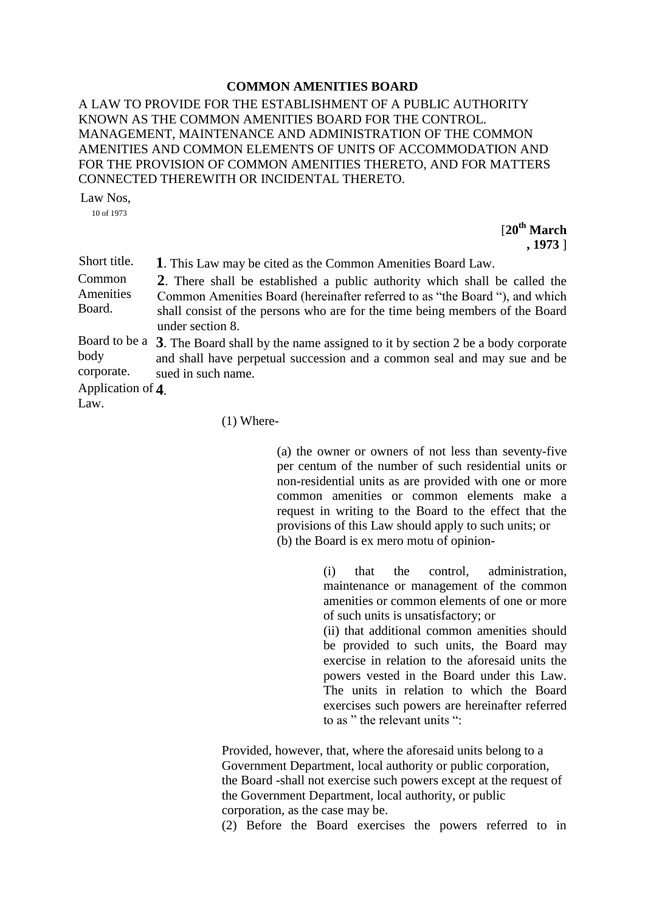## **COMMON AMENITIES BOARD**

A LAW TO PROVIDE FOR THE ESTABLISHMENT OF A PUBLIC AUTHORITY KNOWN AS THE COMMON AMENITIES BOARD FOR THE CONTROL. MANAGEMENT, MAINTENANCE AND ADMINISTRATION OF THE COMMON AMENITIES AND COMMON ELEMENTS OF UNITS OF ACCOMMODATION AND FOR THE PROVISION OF COMMON AMENITIES THERETO, AND FOR MATTERS CONNECTED THEREWITH OR INCIDENTAL THERETO.

Law Nos,

10 of 1973

[**20th March , 1973** ]

Short title. **1**. This Law may be cited as the Common Amenities Board Law. Common Amenities Board. **2**. There shall be established a public authority which shall be called the Common Amenities Board (hereinafter referred to as "the Board "), and which shall consist of the persons who are for the time being members of the Board under section 8. Board to be a **3**. The Board shall by the name assigned to it by section 2 be a body corporate body corporate. and shall have perpetual succession and a common seal and may sue and be sued in such name. Application of **4**. Law.

(1) Where-

(a) the owner or owners of not less than seventy-five per centum of the number of such residential units or non-residential units as are provided with one or more common amenities or common elements make a request in writing to the Board to the effect that the provisions of this Law should apply to such units; or (b) the Board is ex mero motu of opinion-

> (i) that the control, administration, maintenance or management of the common amenities or common elements of one or more of such units is unsatisfactory; or

> (ii) that additional common amenities should be provided to such units, the Board may exercise in relation to the aforesaid units the powers vested in the Board under this Law. The units in relation to which the Board exercises such powers are hereinafter referred to as " the relevant units ".

Provided, however, that, where the aforesaid units belong to a Government Department, local authority or public corporation, the Board -shall not exercise such powers except at the request of the Government Department, local authority, or public corporation, as the case may be.

(2) Before the Board exercises the powers referred to in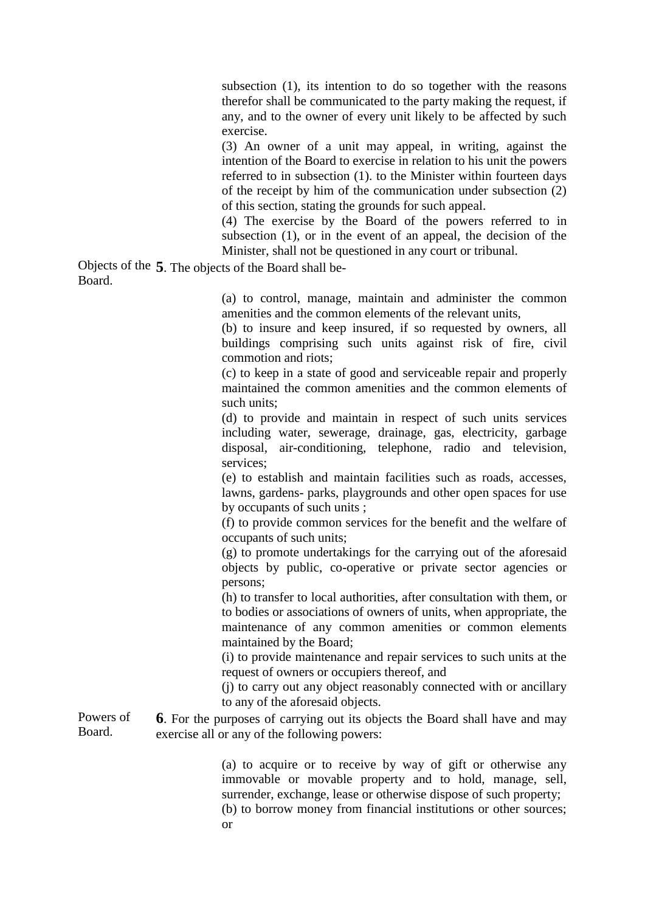subsection (1), its intention to do so together with the reasons therefor shall be communicated to the party making the request, if any, and to the owner of every unit likely to be affected by such exercise.

(3) An owner of a unit may appeal, in writing, against the intention of the Board to exercise in relation to his unit the powers referred to in subsection (1). to the Minister within fourteen days of the receipt by him of the communication under subsection (2) of this section, stating the grounds for such appeal.

(4) The exercise by the Board of the powers referred to in subsection (1), or in the event of an appeal, the decision of the Minister, shall not be questioned in any court or tribunal.

Objects of the **5**. The objects of the Board shall be- Board.

> (a) to control, manage, maintain and administer the common amenities and the common elements of the relevant units,

> (b) to insure and keep insured, if so requested by owners, all buildings comprising such units against risk of fire, civil commotion and riots;

> (c) to keep in a state of good and serviceable repair and properly maintained the common amenities and the common elements of such units;

> (d) to provide and maintain in respect of such units services including water, sewerage, drainage, gas, electricity, garbage disposal, air-conditioning, telephone, radio and television, services;

> (e) to establish and maintain facilities such as roads, accesses, lawns, gardens- parks, playgrounds and other open spaces for use by occupants of such units ;

> (f) to provide common services for the benefit and the welfare of occupants of such units;

> (g) to promote undertakings for the carrying out of the aforesaid objects by public, co-operative or private sector agencies or persons;

> (h) to transfer to local authorities, after consultation with them, or to bodies or associations of owners of units, when appropriate, the maintenance of any common amenities or common elements maintained by the Board;

> (i) to provide maintenance and repair services to such units at the request of owners or occupiers thereof, and

> (j) to carry out any object reasonably connected with or ancillary to any of the aforesaid objects.

Powers of Board. **6**. For the purposes of carrying out its objects the Board shall have and may exercise all or any of the following powers:

> (a) to acquire or to receive by way of gift or otherwise any immovable or movable property and to hold, manage, sell, surrender, exchange, lease or otherwise dispose of such property;

> (b) to borrow money from financial institutions or other sources; or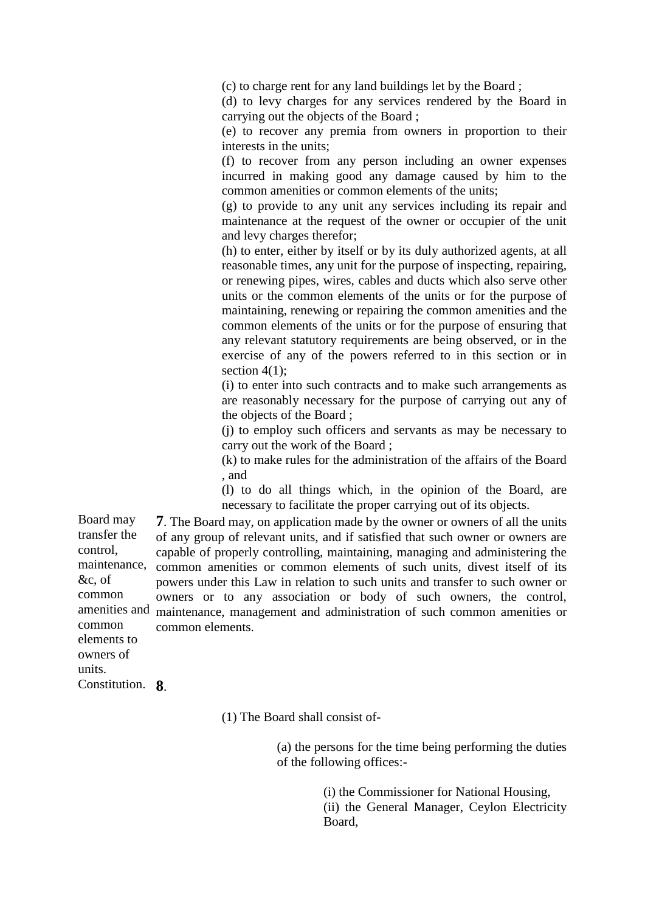(c) to charge rent for any land buildings let by the Board ;

(d) to levy charges for any services rendered by the Board in carrying out the objects of the Board ;

(e) to recover any premia from owners in proportion to their interests in the units;

(f) to recover from any person including an owner expenses incurred in making good any damage caused by him to the common amenities or common elements of the units;

(g) to provide to any unit any services including its repair and maintenance at the request of the owner or occupier of the unit and levy charges therefor;

(h) to enter, either by itself or by its duly authorized agents, at all reasonable times, any unit for the purpose of inspecting, repairing, or renewing pipes, wires, cables and ducts which also serve other units or the common elements of the units or for the purpose of maintaining, renewing or repairing the common amenities and the common elements of the units or for the purpose of ensuring that any relevant statutory requirements are being observed, or in the exercise of any of the powers referred to in this section or in section  $4(1)$ ;

(i) to enter into such contracts and to make such arrangements as are reasonably necessary for the purpose of carrying out any of the objects of the Board ;

(j) to employ such officers and servants as may be necessary to carry out the work of the Board ;

(k) to make rules for the administration of the affairs of the Board , and

(l) to do all things which, in the opinion of the Board, are necessary to facilitate the proper carrying out of its objects.

Board may transfer the control, maintenance, amenities and maintenance, management and administration of such common amenities or **7**. The Board may, on application made by the owner or owners of all the units of any group of relevant units, and if satisfied that such owner or owners are capable of properly controlling, maintaining, managing and administering the common amenities or common elements of such units, divest itself of its powers under this Law in relation to such units and transfer to such owner or owners or to any association or body of such owners, the control, common elements.

&c, of common common elements to owners of units. Constitution. **8**.

(1) The Board shall consist of-

(a) the persons for the time being performing the duties of the following offices:-

> (i) the Commissioner for National Housing, (ii) the General Manager, Ceylon Electricity Board,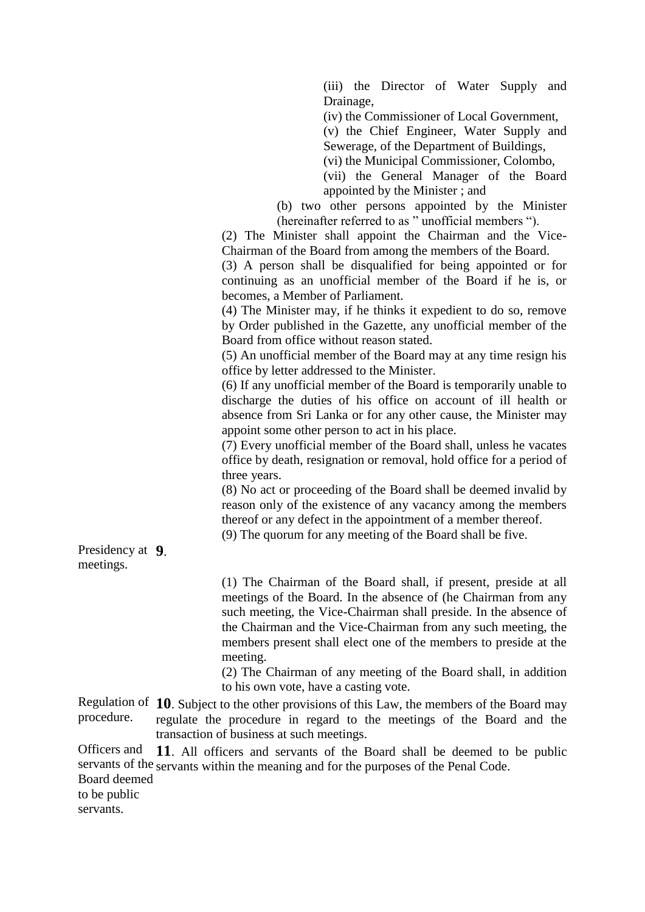(iii) the Director of Water Supply and Drainage,

(iv) the Commissioner of Local Government,

(v) the Chief Engineer, Water Supply and Sewerage, of the Department of Buildings,

(vi) the Municipal Commissioner, Colombo,

(vii) the General Manager of the Board appointed by the Minister ; and

(b) two other persons appointed by the Minister (hereinafter referred to as " unofficial members ").

(2) The Minister shall appoint the Chairman and the Vice-Chairman of the Board from among the members of the Board.

(3) A person shall be disqualified for being appointed or for continuing as an unofficial member of the Board if he is, or becomes, a Member of Parliament.

(4) The Minister may, if he thinks it expedient to do so, remove by Order published in the Gazette, any unofficial member of the Board from office without reason stated.

(5) An unofficial member of the Board may at any time resign his office by letter addressed to the Minister.

(6) If any unofficial member of the Board is temporarily unable to discharge the duties of his office on account of ill health or absence from Sri Lanka or for any other cause, the Minister may appoint some other person to act in his place.

(7) Every unofficial member of the Board shall, unless he vacates office by death, resignation or removal, hold office for a period of three years.

(8) No act or proceeding of the Board shall be deemed invalid by reason only of the existence of any vacancy among the members thereof or any defect in the appointment of a member thereof.

(9) The quorum for any meeting of the Board shall be five.

Presidency at **9**. meetings.

> (1) The Chairman of the Board shall, if present, preside at all meetings of the Board. In the absence of (he Chairman from any such meeting, the Vice-Chairman shall preside. In the absence of the Chairman and the Vice-Chairman from any such meeting, the members present shall elect one of the members to preside at the meeting.

> (2) The Chairman of any meeting of the Board shall, in addition to his own vote, have a casting vote.

Regulation of **10**. Subject to the other provisions of this Law, the members of the Board may procedure. regulate the procedure in regard to the meetings of the Board and the transaction of business at such meetings.

Officers and servants of the servants within the meaning and for the purposes of the Penal Code. Board deemed to be public **11**. All officers and servants of the Board shall be deemed to be public

servants.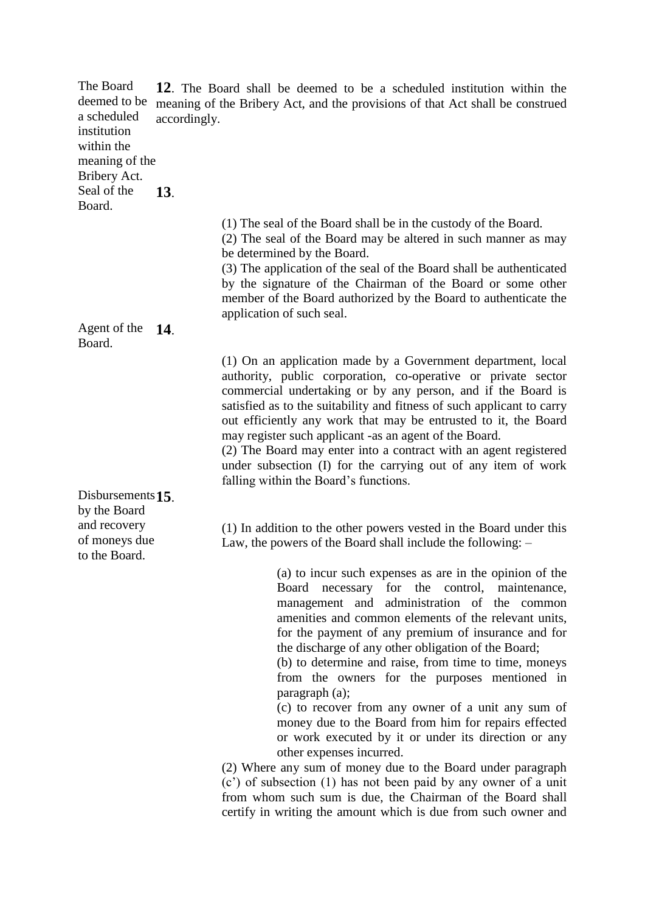| The Board<br>deemed to be<br>a scheduled<br>institution<br>within the | 12. The Board shall be deemed to be a scheduled institution within the<br>meaning of the Bribery Act, and the provisions of that Act shall be construed<br>accordingly. |                                                                                                                                                                                                                                                                                                                                                                                                                                                                                                                                                                                                                                                                                                                                                                                                                                                                                                                               |
|-----------------------------------------------------------------------|-------------------------------------------------------------------------------------------------------------------------------------------------------------------------|-------------------------------------------------------------------------------------------------------------------------------------------------------------------------------------------------------------------------------------------------------------------------------------------------------------------------------------------------------------------------------------------------------------------------------------------------------------------------------------------------------------------------------------------------------------------------------------------------------------------------------------------------------------------------------------------------------------------------------------------------------------------------------------------------------------------------------------------------------------------------------------------------------------------------------|
| meaning of the<br>Bribery Act.                                        |                                                                                                                                                                         |                                                                                                                                                                                                                                                                                                                                                                                                                                                                                                                                                                                                                                                                                                                                                                                                                                                                                                                               |
| Seal of the<br>Board.                                                 | 13.                                                                                                                                                                     |                                                                                                                                                                                                                                                                                                                                                                                                                                                                                                                                                                                                                                                                                                                                                                                                                                                                                                                               |
|                                                                       |                                                                                                                                                                         | (1) The seal of the Board shall be in the custody of the Board.<br>(2) The seal of the Board may be altered in such manner as may<br>be determined by the Board.<br>(3) The application of the seal of the Board shall be authenticated<br>by the signature of the Chairman of the Board or some other<br>member of the Board authorized by the Board to authenticate the<br>application of such seal.                                                                                                                                                                                                                                                                                                                                                                                                                                                                                                                        |
| Agent of the<br>Board.                                                | <b>14</b> .                                                                                                                                                             |                                                                                                                                                                                                                                                                                                                                                                                                                                                                                                                                                                                                                                                                                                                                                                                                                                                                                                                               |
|                                                                       |                                                                                                                                                                         | (1) On an application made by a Government department, local<br>authority, public corporation, co-operative or private sector<br>commercial undertaking or by any person, and if the Board is<br>satisfied as to the suitability and fitness of such applicant to carry<br>out efficiently any work that may be entrusted to it, the Board<br>may register such applicant -as an agent of the Board.<br>(2) The Board may enter into a contract with an agent registered<br>under subsection (I) for the carrying out of any item of work<br>falling within the Board's functions.                                                                                                                                                                                                                                                                                                                                            |
| Disbursements $15$ .                                                  |                                                                                                                                                                         |                                                                                                                                                                                                                                                                                                                                                                                                                                                                                                                                                                                                                                                                                                                                                                                                                                                                                                                               |
| by the Board<br>and recovery<br>of moneys due<br>to the Board.        |                                                                                                                                                                         | (1) In addition to the other powers vested in the Board under this<br>Law, the powers of the Board shall include the following: -                                                                                                                                                                                                                                                                                                                                                                                                                                                                                                                                                                                                                                                                                                                                                                                             |
|                                                                       |                                                                                                                                                                         | (a) to incur such expenses as are in the opinion of the<br>Board necessary for the control, maintenance,<br>management and administration of the common<br>amenities and common elements of the relevant units,<br>for the payment of any premium of insurance and for<br>the discharge of any other obligation of the Board;<br>(b) to determine and raise, from time to time, moneys<br>from the owners for the purposes mentioned in<br>paragraph (a);<br>(c) to recover from any owner of a unit any sum of<br>money due to the Board from him for repairs effected<br>or work executed by it or under its direction or any<br>other expenses incurred.<br>(2) Where any sum of money due to the Board under paragraph<br>(c') of subsection (1) has not been paid by any owner of a unit<br>from whom such sum is due, the Chairman of the Board shall<br>certify in writing the amount which is due from such owner and |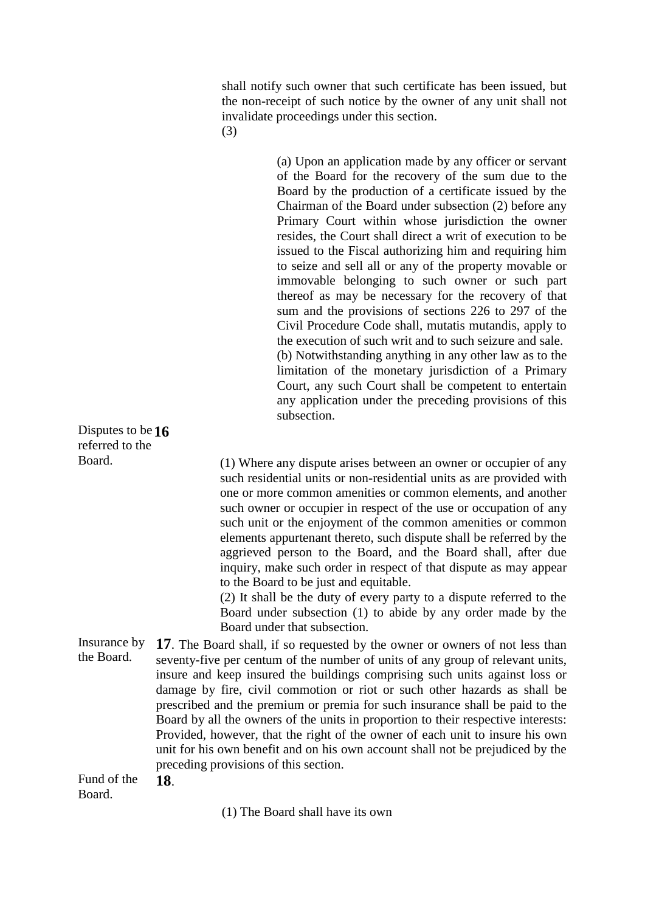shall notify such owner that such certificate has been issued, but the non-receipt of such notice by the owner of any unit shall not invalidate proceedings under this section. (3)

(a) Upon an application made by any officer or servant of the Board for the recovery of the sum due to the Board by the production of a certificate issued by the Chairman of the Board under subsection (2) before any Primary Court within whose jurisdiction the owner resides, the Court shall direct a writ of execution to be issued to the Fiscal authorizing him and requiring him to seize and sell all or any of the property movable or immovable belonging to such owner or such part thereof as may be necessary for the recovery of that sum and the provisions of sections 226 to 297 of the Civil Procedure Code shall, mutatis mutandis, apply to the execution of such writ and to such seizure and sale. (b) Notwithstanding anything in any other law as to the limitation of the monetary jurisdiction of a Primary Court, any such Court shall be competent to entertain any application under the preceding provisions of this subsection. Disputes to be **16** referred to the Board. (1) Where any dispute arises between an owner or occupier of any such residential units or non-residential units as are provided with one or more common amenities or common elements, and another such owner or occupier in respect of the use or occupation of any such unit or the enjoyment of the common amenities or common elements appurtenant thereto, such dispute shall be referred by the aggrieved person to the Board, and the Board shall, after due inquiry, make such order in respect of that dispute as may appear to the Board to be just and equitable. (2) It shall be the duty of every party to a dispute referred to the Board under subsection (1) to abide by any order made by the Board under that subsection. Insurance by **17**. The Board shall, if so requested by the owner or owners of not less than

the Board. seventy-five per centum of the number of units of any group of relevant units, insure and keep insured the buildings comprising such units against loss or damage by fire, civil commotion or riot or such other hazards as shall be prescribed and the premium or premia for such insurance shall be paid to the Board by all the owners of the units in proportion to their respective interests: Provided, however, that the right of the owner of each unit to insure his own unit for his own benefit and on his own account shall not be prejudiced by the preceding provisions of this section.

Fund of the Board. **18**.

(1) The Board shall have its own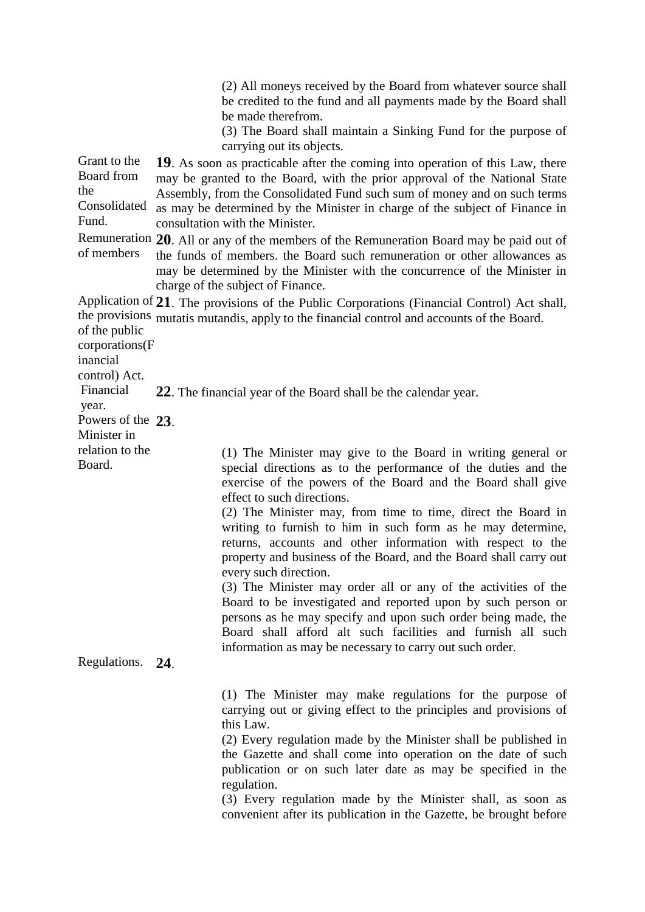|                                                            | (2) All moneys received by the Board from whatever source shall<br>be credited to the fund and all payments made by the Board shall<br>be made therefrom.                                                                                                                                                                                                                                                                                                                                          |  |  |
|------------------------------------------------------------|----------------------------------------------------------------------------------------------------------------------------------------------------------------------------------------------------------------------------------------------------------------------------------------------------------------------------------------------------------------------------------------------------------------------------------------------------------------------------------------------------|--|--|
|                                                            | (3) The Board shall maintain a Sinking Fund for the purpose of<br>carrying out its objects.                                                                                                                                                                                                                                                                                                                                                                                                        |  |  |
| Grant to the<br>Board from<br>the<br>Consolidated<br>Fund. | 19. As soon as practicable after the coming into operation of this Law, there<br>may be granted to the Board, with the prior approval of the National State<br>Assembly, from the Consolidated Fund such sum of money and on such terms<br>as may be determined by the Minister in charge of the subject of Finance in<br>consultation with the Minister.                                                                                                                                          |  |  |
| of members                                                 | Remuneration 20. All or any of the members of the Remuneration Board may be paid out of<br>the funds of members, the Board such remuneration or other allowances as<br>may be determined by the Minister with the concurrence of the Minister in<br>charge of the subject of Finance.                                                                                                                                                                                                              |  |  |
| of the public<br>corporations(F                            | Application of 21. The provisions of the Public Corporations (Financial Control) Act shall,<br>the provisions mutatis mutandis, apply to the financial control and accounts of the Board.                                                                                                                                                                                                                                                                                                          |  |  |
| inancial<br>control) Act.                                  |                                                                                                                                                                                                                                                                                                                                                                                                                                                                                                    |  |  |
| Financial<br>year.<br>Powers of the 23.                    | 22. The financial year of the Board shall be the calendar year.                                                                                                                                                                                                                                                                                                                                                                                                                                    |  |  |
| Minister in                                                |                                                                                                                                                                                                                                                                                                                                                                                                                                                                                                    |  |  |
| relation to the<br>Board.                                  | (1) The Minister may give to the Board in writing general or<br>special directions as to the performance of the duties and the<br>exercise of the powers of the Board and the Board shall give<br>effect to such directions.                                                                                                                                                                                                                                                                       |  |  |
|                                                            | (2) The Minister may, from time to time, direct the Board in<br>writing to furnish to him in such form as he may determine,<br>returns, accounts and other information with respect to the<br>property and business of the Board, and the Board shall carry out<br>every such direction.                                                                                                                                                                                                           |  |  |
|                                                            | (3) The Minister may order all or any of the activities of the<br>Board to be investigated and reported upon by such person or<br>persons as he may specify and upon such order being made, the<br>Board shall afford alt such facilities and furnish all such                                                                                                                                                                                                                                     |  |  |
| Regulations. 24.                                           | information as may be necessary to carry out such order.                                                                                                                                                                                                                                                                                                                                                                                                                                           |  |  |
|                                                            | (1) The Minister may make regulations for the purpose of<br>carrying out or giving effect to the principles and provisions of<br>this Law.<br>(2) Every regulation made by the Minister shall be published in<br>the Gazette and shall come into operation on the date of such<br>publication or on such later date as may be specified in the<br>regulation.<br>(3) Every regulation made by the Minister shall, as soon as<br>convenient after its publication in the Gazette, be brought before |  |  |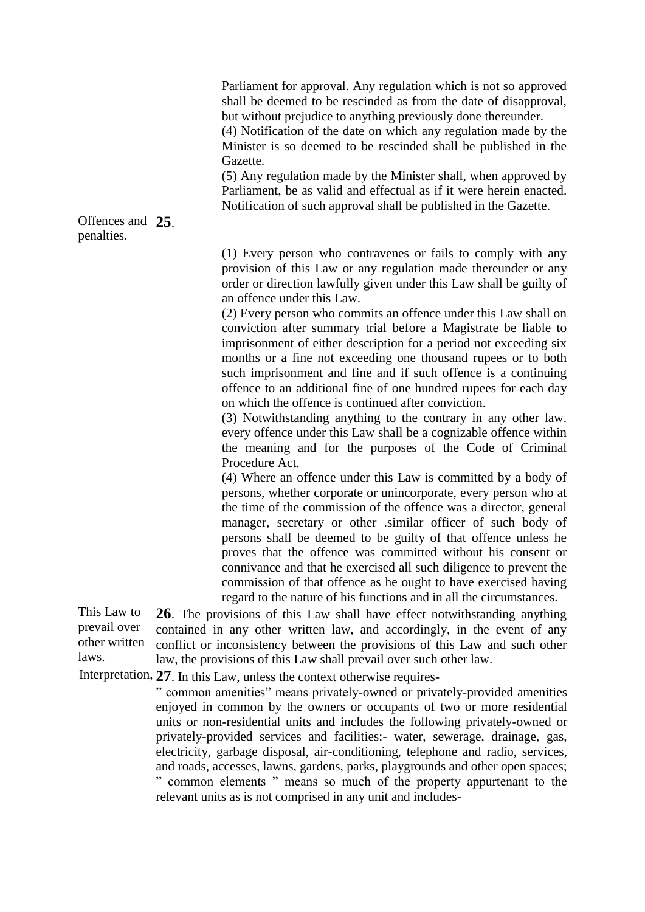Parliament for approval. Any regulation which is not so approved shall be deemed to be rescinded as from the date of disapproval, but without prejudice to anything previously done thereunder.

(4) Notification of the date on which any regulation made by the Minister is so deemed to be rescinded shall be published in the Gazette.

(5) Any regulation made by the Minister shall, when approved by Parliament, be as valid and effectual as if it were herein enacted. Notification of such approval shall be published in the Gazette.

Offences and **25**. penalties.

> (1) Every person who contravenes or fails to comply with any provision of this Law or any regulation made thereunder or any order or direction lawfully given under this Law shall be guilty of an offence under this Law.

> (2) Every person who commits an offence under this Law shall on conviction after summary trial before a Magistrate be liable to imprisonment of either description for a period not exceeding six months or a fine not exceeding one thousand rupees or to both such imprisonment and fine and if such offence is a continuing offence to an additional fine of one hundred rupees for each day on which the offence is continued after conviction.

> (3) Notwithstanding anything to the contrary in any other law. every offence under this Law shall be a cognizable offence within the meaning and for the purposes of the Code of Criminal Procedure Act.

> (4) Where an offence under this Law is committed by a body of persons, whether corporate or unincorporate, every person who at the time of the commission of the offence was a director, general manager, secretary or other .similar officer of such body of persons shall be deemed to be guilty of that offence unless he proves that the offence was committed without his consent or connivance and that he exercised all such diligence to prevent the commission of that offence as he ought to have exercised having regard to the nature of his functions and in all the circumstances.

This Law to prevail over other written laws. **26**. The provisions of this Law shall have effect notwithstanding anything contained in any other written law, and accordingly, in the event of any conflict or inconsistency between the provisions of this Law and such other law, the provisions of this Law shall prevail over such other law.

Interpretation, **27**. In this Law, unless the context otherwise requires-

" common amenities" means privately-owned or privately-provided amenities enjoyed in common by the owners or occupants of two or more residential units or non-residential units and includes the following privately-owned or privately-provided services and facilities:- water, sewerage, drainage, gas, electricity, garbage disposal, air-conditioning, telephone and radio, services, and roads, accesses, lawns, gardens, parks, playgrounds and other open spaces; " common elements " means so much of the property appurtenant to the relevant units as is not comprised in any unit and includes